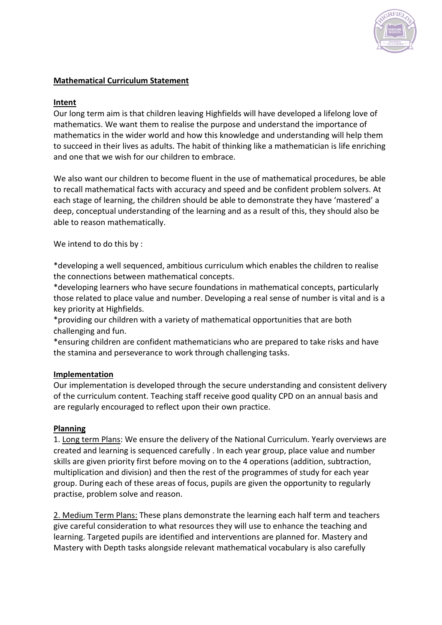

# **Mathematical Curriculum Statement**

### **Intent**

Our long term aim is that children leaving Highfields will have developed a lifelong love of mathematics. We want them to realise the purpose and understand the importance of mathematics in the wider world and how this knowledge and understanding will help them to succeed in their lives as adults. The habit of thinking like a mathematician is life enriching and one that we wish for our children to embrace.

We also want our children to become fluent in the use of mathematical procedures, be able to recall mathematical facts with accuracy and speed and be confident problem solvers. At each stage of learning, the children should be able to demonstrate they have 'mastered' a deep, conceptual understanding of the learning and as a result of this, they should also be able to reason mathematically.

We intend to do this by :

\*developing a well sequenced, ambitious curriculum which enables the children to realise the connections between mathematical concepts.

\*developing learners who have secure foundations in mathematical concepts, particularly those related to place value and number. Developing a real sense of number is vital and is a key priority at Highfields.

\*providing our children with a variety of mathematical opportunities that are both challenging and fun.

\*ensuring children are confident mathematicians who are prepared to take risks and have the stamina and perseverance to work through challenging tasks.

### **Implementation**

Our implementation is developed through the secure understanding and consistent delivery of the curriculum content. Teaching staff receive good quality CPD on an annual basis and are regularly encouraged to reflect upon their own practice.

### **Planning**

1. Long term Plans: We ensure the delivery of the National Curriculum. Yearly overviews are created and learning is sequenced carefully . In each year group, place value and number skills are given priority first before moving on to the 4 operations (addition, subtraction, multiplication and division) and then the rest of the programmes of study for each year group. During each of these areas of focus, pupils are given the opportunity to regularly practise, problem solve and reason.

2. Medium Term Plans: These plans demonstrate the learning each half term and teachers give careful consideration to what resources they will use to enhance the teaching and learning. Targeted pupils are identified and interventions are planned for. Mastery and Mastery with Depth tasks alongside relevant mathematical vocabulary is also carefully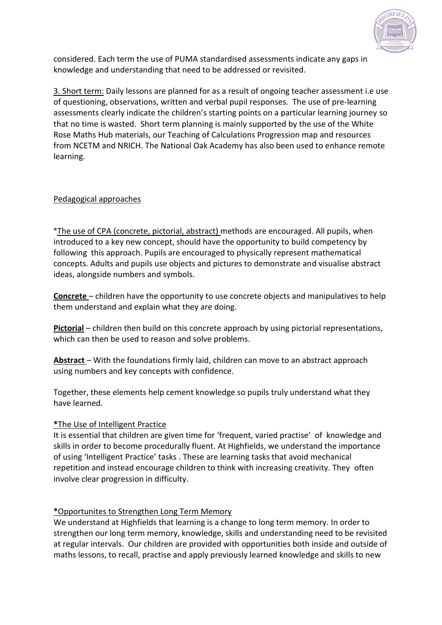

considered. Each term the use of PUMA standardised assessments indicate any gaps in knowledge and understanding that need to be addressed or revisited.

3. Short term: Daily lessons are planned for as a result of ongoing teacher assessment i.e use of questioning, observations, written and verbal pupil responses. The use of pre-learning assessments clearly indicate the children's starting points on a particular learning journey so that no time is wasted. Short term planning is mainly supported by the use of the White Rose Maths Hub materials, our Teaching of Calculations Progression map and resources from NCETM and NRICH. The National Oak Academy has also been used to enhance remote learning.

### Pedagogical approaches

\*The use of CPA (concrete, pictorial, abstract) methods are encouraged. All pupils, when introduced to a key new concept, should have the opportunity to build competency by following this approach. Pupils are encouraged to physically represent mathematical concepts. Adults and pupils use objects and pictures to demonstrate and visualise abstract ideas, alongside numbers and symbols.

**Concrete** – children have the opportunity to use concrete objects and manipulatives to help them understand and explain what they are doing.

**Pictorial** – children then build on this concrete approach by using pictorial representations, which can then be used to reason and solve problems.

**Abstract** – With the foundations firmly laid, children can move to an abstract approach using numbers and key concepts with confidence.

Together, these elements help cement knowledge so pupils truly understand what they have learned.

### **\***The Use of Intelligent Practice

It is essential that children are given time for 'frequent, varied practise' of knowledge and skills in order to become procedurally fluent. At Highfields, we understand the importance of using 'Intelligent Practice' tasks . These are learning tasks that avoid mechanical repetition and instead encourage children to think with increasing creativity. They often involve clear progression in difficulty.

### **\***Opportunites to Strengthen Long Term Memory

We understand at Highfields that learning is a change to long term memory. In order to strengthen our long term memory, knowledge, skills and understanding need to be revisited at regular intervals. Our children are provided with opportunities both inside and outside of maths lessons, to recall, practise and apply previously learned knowledge and skills to new